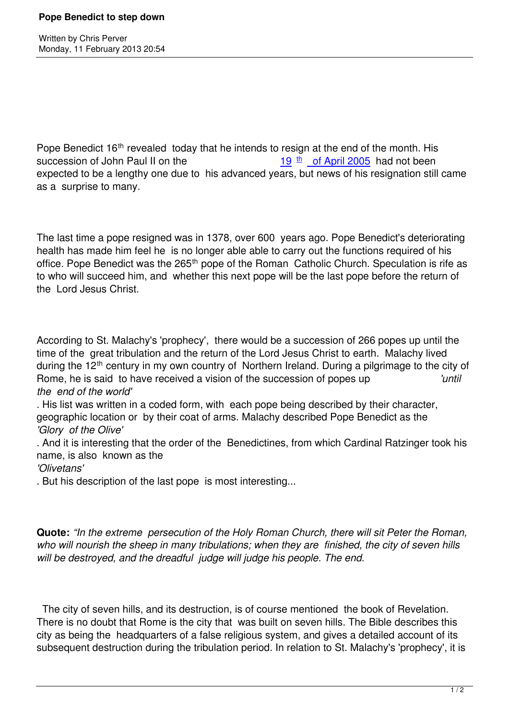Written by Christian by Christian by Christian by Christian by Christian by Christian by Chris Perus

Pope Benedict 16<sup>th</sup> revealed today that he intends to resign at the end of the month. His succession of John Paul II on the 19 th of April 2005 had not been expected to be a lengthy one due to his advanced years, but news of his resignation still came as a surprise to many.

The last time a pope resigned was in 1378, over 600 years ago. Pope Benedict's deteriorating health has made him feel he is no longer able able to carry out the functions required of his office. Pope Benedict was the 265<sup>th</sup> pope of the Roman Catholic Church. Speculation is rife as to who will succeed him, and whether this next pope will be the last pope before the return of the Lord Jesus Christ.

According to St. Malachy's 'prophecy', there would be a succession of 266 popes up until the time of the great tribulation and the return of the Lord Jesus Christ to earth. Malachy lived during the 12<sup>th</sup> century in my own country of Northern Ireland. During a pilgrimage to the city of Rome, he is said to have received a vision of the succession of popes up *'until the end of the world'*

. His list was written in a coded form, with each pope being described by their character, geographic location or by their coat of arms. Malachy described Pope Benedict as the *'Glory of the Olive'*

. And it is interesting that the order of the Benedictines, from which Cardinal Ratzinger took his name, is also known as the

*'Olivetans'*

. But his description of the last pope is most interesting...

**Quote:** *"In the extreme persecution of the Holy Roman Church, there will sit Peter the Roman, who will nourish the sheep in many tribulations; when they are finished, the city of seven hills will be destroyed, and the dreadful judge will judge his people. The end.*

 The city of seven hills, and its destruction, is of course mentioned the book of Revelation. There is no doubt that Rome is the city that was built on seven hills. The Bible describes this city as being the headquarters of a false religious system, and gives a detailed account of its subsequent destruction during the tribulation period. In relation to St. Malachy's 'prophecy', it is